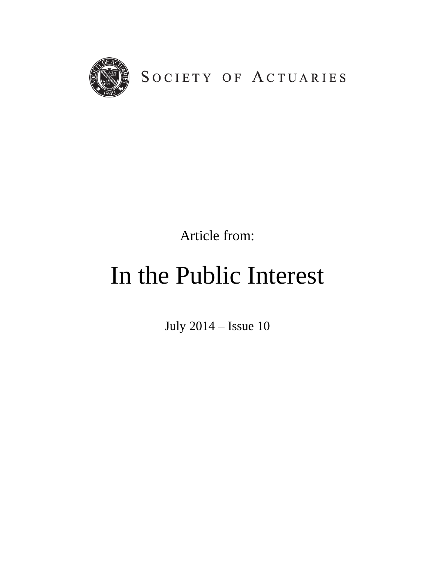

Article from:

## In the Public Interest

July 2014 – Issue 10